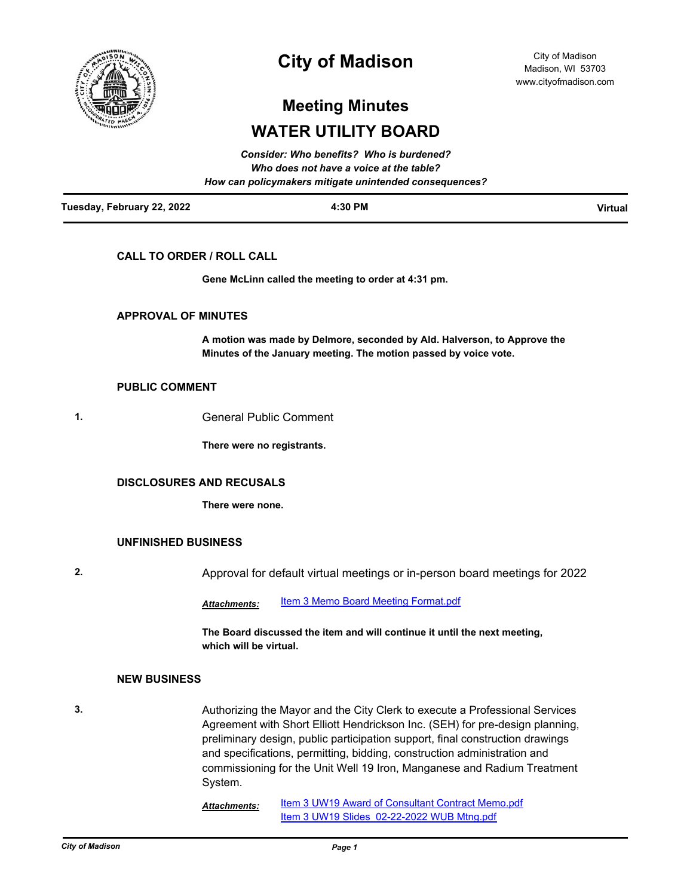

# **City of Madison**

City of Madison Madison, WI 53703 www.cityofmadison.com

# **Meeting Minutes WATER UTILITY BOARD**

| Tuesday, February 22, 2022 | 4:30 PM                                                | <b>Virtual</b> |
|----------------------------|--------------------------------------------------------|----------------|
|                            | How can policymakers mitigate unintended consequences? |                |
|                            | Who does not have a voice at the table?                |                |
|                            | <b>Consider: Who benefits? Who is burdened?</b>        |                |

## **CALL TO ORDER / ROLL CALL**

**Gene McLinn called the meeting to order at 4:31 pm.**

### **APPROVAL OF MINUTES**

**A motion was made by Delmore, seconded by Ald. Halverson, to Approve the Minutes of the January meeting. The motion passed by voice vote.**

#### **PUBLIC COMMENT**

**1.** General Public Comment

**There were no registrants.**

### **DISCLOSURES AND RECUSALS**

**There were none.**

#### **UNFINISHED BUSINESS**

**2.** Approval for default virtual meetings or in-person board meetings for 2022

Attachments: [Item 3 Memo Board Meeting Format.pdf](http://madison.legistar.com/gateway.aspx?M=F&ID=94b2d04c-561d-4040-aac8-597cbfac2e63.pdf)

**The Board discussed the item and will continue it until the next meeting, which will be virtual.**

#### **NEW BUSINESS**

**3.** Authorizing the Mayor and the City Clerk to execute a Professional Services Agreement with Short Elliott Hendrickson Inc. (SEH) for pre-design planning, preliminary design, public participation support, final construction drawings and specifications, permitting, bidding, construction administration and commissioning for the Unit Well 19 Iron, Manganese and Radium Treatment System.

> [Item 3 UW19 Award of Consultant Contract Memo.pdf](http://madison.legistar.com/gateway.aspx?M=F&ID=89c74e9c-a9f7-4180-b6c0-e3c33e63858d.pdf) Item 3 UW19 Slides 02-22-2022 WUB Mtng.pdf *Attachments:*